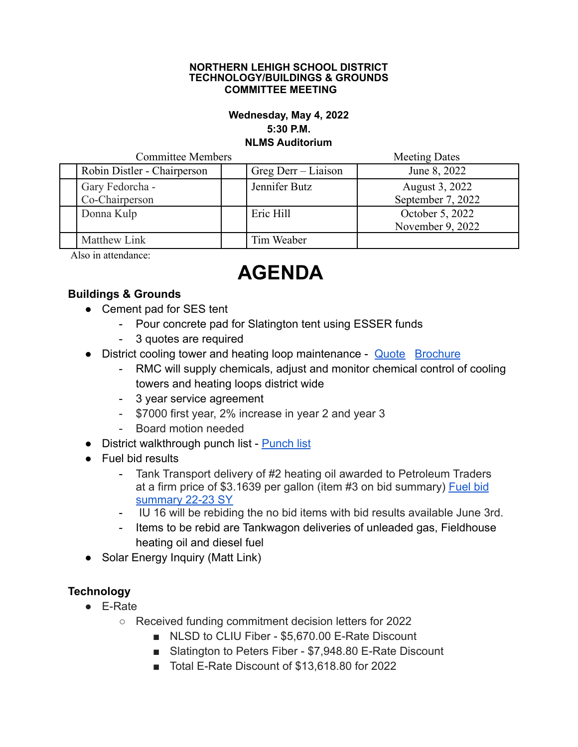#### **NORTHERN LEHIGH SCHOOL DISTRICT TECHNOLOGY/BUILDINGS & GROUNDS COMMITTEE MEETING**

### **Wednesday, May 4, 2022 5:30 P.M. NLMS Auditorium**

| <b>Committee Members</b> |                             |  |                     | <b>Meeting Dates</b> |
|--------------------------|-----------------------------|--|---------------------|----------------------|
|                          | Robin Distler - Chairperson |  | Greg Derr – Liaison | June 8, 2022         |
|                          | Gary Fedorcha -             |  | Jennifer Butz       | August 3, 2022       |
|                          | Co-Chairperson              |  |                     | September 7, 2022    |
|                          | Donna Kulp                  |  | Eric Hill           | October 5, 2022      |
|                          |                             |  |                     | November 9, 2022     |
|                          | Matthew Link                |  | Tim Weaber          |                      |

Also in attendance:

# **AGENDA**

## **Buildings & Grounds**

- Cement pad for SES tent
	- Pour concrete pad for Slatington tent using ESSER funds
	- 3 quotes are required
- District cooling tower and heating loop maintenance [Quote](https://drive.google.com/file/d/1R-HRcblxrdqY-PhXo-tVK3v6ghsj3pTX/view?usp=sharing) [Brochure](https://drive.google.com/file/d/11vFc5Ru2sG4q_LEJATJIDYd2K25_FDok/view?usp=sharing)
	- RMC will supply chemicals, adjust and monitor chemical control of cooling towers and heating loops district wide
	- 3 year service agreement
	- \$7000 first year, 2% increase in year 2 and year 3
	- Board motion needed
- District walkthrough punch list [Punch list](https://docs.google.com/document/d/18mc0bGTgPYa1CjrSULNyftFnjsmhmb3w/edit?usp=sharing&ouid=102609620345304660753&rtpof=true&sd=true)
- Fuel bid results
	- Tank Transport delivery of #2 heating oil awarded to Petroleum Traders at a firm price of \$3.1639 per gallon (item #3 on bid summary) [Fuel bid](https://drive.google.com/file/d/1JF9fYwpGJhhVcHFynsLp9gTPpOKyuW1H/view?usp=sharing) [summary 22-23 SY](https://drive.google.com/file/d/1JF9fYwpGJhhVcHFynsLp9gTPpOKyuW1H/view?usp=sharing)
	- IU 16 will be rebiding the no bid items with bid results available June 3rd.
	- Items to be rebid are Tankwagon deliveries of unleaded gas, Fieldhouse heating oil and diesel fuel
- Solar Energy Inquiry (Matt Link)

## **Technology**

- E-Rate
	- Received funding commitment decision letters for 2022
		- NLSD to CLIU Fiber \$5,670.00 E-Rate Discount
		- Slatington to Peters Fiber \$7,948.80 E-Rate Discount
		- Total E-Rate Discount of \$13,618.80 for 2022